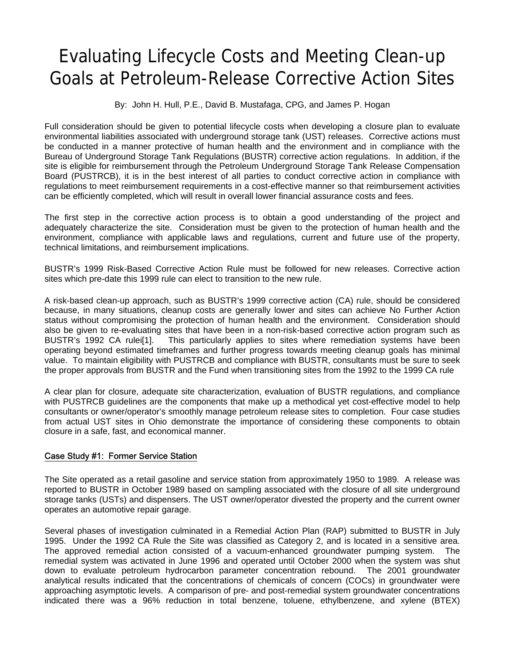# Evaluating Lifecycle Costs and Meeting Clean-up Goals at Petroleum-Release Corrective Action Sites

By: John H. Hull, P.E., David B. Mustafaga, CPG, and James P. Hogan

Full consideration should be given to potential lifecycle costs when developing a closure plan to evaluate environmental liabilities associated with underground storage tank (UST) releases. Corrective actions must be conducted in a manner protective of human health and the environment and in compliance with the Bureau of Underground Storage Tank Regulations (BUSTR) corrective action regulations. In addition, if the site is eligible for reimbursement through the Petroleum Underground Storage Tank Release Compensation Board (PUSTRCB), it is in the best interest of all parties to conduct corrective action in compliance with regulations to meet reimbursement requirements in a cost-effective manner so that reimbursement activities can be efficiently completed, which will result in overall lower financial assurance costs and fees.

The first step in the corrective action process is to obtain a good understanding of the project and adequately characterize the site. Consideration must be given to the protection of human health and the environment, compliance with applicable laws and regulations, current and future use of the property, technical limitations, and reimbursement implications.

BUSTR's 1999 Risk-Based Corrective Action Rule must be followed for new releases. Corrective action sites which pre-date this 1999 rule can elect to transition to the new rule.

A risk-based clean-up approach, such as BUSTR's 1999 corrective action (CA) rule, should be considered because, in many situations, cleanup costs are generally lower and sites can achieve No Further Action status without compromising the protection of human health and the environment. Consideration should also be given to re-evaluating sites that have been in a non-risk-based corrective action program such as BUSTR's 1992 CA rulei<sup>[1]</sup>. This particularly applies to sites where remediation systems have been This particularly applies to sites where remediation systems have been operating beyond estimated timeframes and further progress towards meeting cleanup goals has minimal value. To maintain eligibility with PUSTRCB and compliance with BUSTR, consultants must be sure to seek the proper approvals from BUSTR and the Fund when transitioning sites from the 1992 to the 1999 CA rule

A clear plan for closure, adequate site characterization, evaluation of BUSTR regulations, and compliance with PUSTRCB guidelines are the components that make up a methodical yet cost-effective model to help consultants or owner/operator's smoothly manage petroleum release sites to completion. Four case studies from actual UST sites in Ohio demonstrate the importance of considering these components to obtain closure in a safe, fast, and economical manner.

### Case Study #1: Former Service Station

The Site operated as a retail gasoline and service station from approximately 1950 to 1989. A release was reported to BUSTR in October 1989 based on sampling associated with the closure of all site underground storage tanks (USTs) and dispensers. The UST owner/operator divested the property and the current owner operates an automotive repair garage.

Several phases of investigation culminated in a Remedial Action Plan (RAP) submitted to BUSTR in July 1995. Under the 1992 CA Rule the Site was classified as Category 2, and is located in a sensitive area. The approved remedial action consisted of a vacuum-enhanced groundwater pumping system. The remedial system was activated in June 1996 and operated until October 2000 when the system was shut down to evaluate petroleum hydrocarbon parameter concentration rebound. The 2001 groundwater analytical results indicated that the concentrations of chemicals of concern (COCs) in groundwater were approaching asymptotic levels. A comparison of pre- and post-remedial system groundwater concentrations indicated there was a 96% reduction in total benzene, toluene, ethylbenzene, and xylene (BTEX)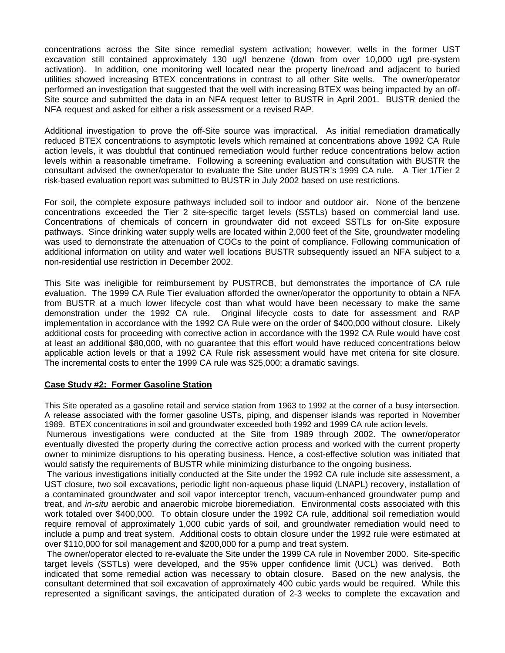concentrations across the Site since remedial system activation; however, wells in the former UST excavation still contained approximately 130 ug/l benzene (down from over 10,000 ug/l pre-system activation). In addition, one monitoring well located near the property line/road and adjacent to buried utilities showed increasing BTEX concentrations in contrast to all other Site wells. The owner/operator performed an investigation that suggested that the well with increasing BTEX was being impacted by an off-Site source and submitted the data in an NFA request letter to BUSTR in April 2001. BUSTR denied the NFA request and asked for either a risk assessment or a revised RAP.

Additional investigation to prove the off-Site source was impractical. As initial remediation dramatically reduced BTEX concentrations to asymptotic levels which remained at concentrations above 1992 CA Rule action levels, it was doubtful that continued remediation would further reduce concentrations below action levels within a reasonable timeframe. Following a screening evaluation and consultation with BUSTR the consultant advised the owner/operator to evaluate the Site under BUSTR's 1999 CA rule. A Tier 1/Tier 2 risk-based evaluation report was submitted to BUSTR in July 2002 based on use restrictions.

For soil, the complete exposure pathways included soil to indoor and outdoor air. None of the benzene concentrations exceeded the Tier 2 site-specific target levels (SSTLs) based on commercial land use. Concentrations of chemicals of concern in groundwater did not exceed SSTLs for on-Site exposure pathways. Since drinking water supply wells are located within 2,000 feet of the Site, groundwater modeling was used to demonstrate the attenuation of COCs to the point of compliance. Following communication of additional information on utility and water well locations BUSTR subsequently issued an NFA subject to a non-residential use restriction in December 2002.

This Site was ineligible for reimbursement by PUSTRCB, but demonstrates the importance of CA rule evaluation. The 1999 CA Rule Tier evaluation afforded the owner/operator the opportunity to obtain a NFA from BUSTR at a much lower lifecycle cost than what would have been necessary to make the same demonstration under the 1992 CA rule. Original lifecycle costs to date for assessment and RAP implementation in accordance with the 1992 CA Rule were on the order of \$400,000 without closure. Likely additional costs for proceeding with corrective action in accordance with the 1992 CA Rule would have cost at least an additional \$80,000, with no guarantee that this effort would have reduced concentrations below applicable action levels or that a 1992 CA Rule risk assessment would have met criteria for site closure. The incremental costs to enter the 1999 CA rule was \$25,000; a dramatic savings.

### **Case Study #2: Former Gasoline Station**

This Site operated as a gasoline retail and service station from 1963 to 1992 at the corner of a busy intersection. A release associated with the former gasoline USTs, piping, and dispenser islands was reported in November 1989. BTEX concentrations in soil and groundwater exceeded both 1992 and 1999 CA rule action levels.

Numerous investigations were conducted at the Site from 1989 through 2002. The owner/operator eventually divested the property during the corrective action process and worked with the current property owner to minimize disruptions to his operating business. Hence, a cost-effective solution was initiated that would satisfy the requirements of BUSTR while minimizing disturbance to the ongoing business.

 The various investigations initially conducted at the Site under the 1992 CA rule include site assessment, a UST closure, two soil excavations, periodic light non-aqueous phase liquid (LNAPL) recovery, installation of a contaminated groundwater and soil vapor interceptor trench, vacuum-enhanced groundwater pump and treat, and *in-situ* aerobic and anaerobic microbe bioremediation. Environmental costs associated with this work totaled over \$400,000. To obtain closure under the 1992 CA rule, additional soil remediation would require removal of approximately 1,000 cubic yards of soil, and groundwater remediation would need to include a pump and treat system. Additional costs to obtain closure under the 1992 rule were estimated at over \$110,000 for soil management and \$200,000 for a pump and treat system.

 The owner/operator elected to re-evaluate the Site under the 1999 CA rule in November 2000. Site-specific target levels (SSTLs) were developed, and the 95% upper confidence limit (UCL) was derived. Both indicated that some remedial action was necessary to obtain closure. Based on the new analysis, the consultant determined that soil excavation of approximately 400 cubic yards would be required. While this represented a significant savings, the anticipated duration of 2-3 weeks to complete the excavation and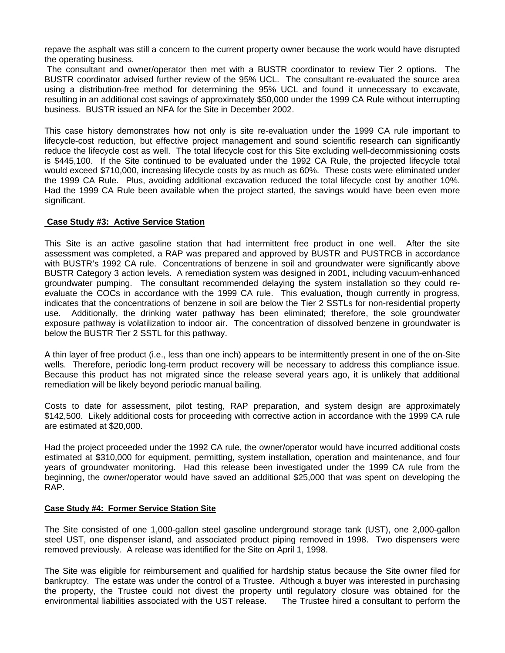repave the asphalt was still a concern to the current property owner because the work would have disrupted the operating business.

 The consultant and owner/operator then met with a BUSTR coordinator to review Tier 2 options. The BUSTR coordinator advised further review of the 95% UCL. The consultant re-evaluated the source area using a distribution-free method for determining the 95% UCL and found it unnecessary to excavate, resulting in an additional cost savings of approximately \$50,000 under the 1999 CA Rule without interrupting business. BUSTR issued an NFA for the Site in December 2002.

This case history demonstrates how not only is site re-evaluation under the 1999 CA rule important to lifecycle-cost reduction, but effective project management and sound scientific research can significantly reduce the lifecycle cost as well. The total lifecycle cost for this Site excluding well-decommissioning costs is \$445,100. If the Site continued to be evaluated under the 1992 CA Rule, the projected lifecycle total would exceed \$710,000, increasing lifecycle costs by as much as 60%. These costs were eliminated under the 1999 CA Rule. Plus, avoiding additional excavation reduced the total lifecycle cost by another 10%. Had the 1999 CA Rule been available when the project started, the savings would have been even more significant.

### **Case Study #3: Active Service Station**

This Site is an active gasoline station that had intermittent free product in one well. After the site assessment was completed, a RAP was prepared and approved by BUSTR and PUSTRCB in accordance with BUSTR's 1992 CA rule. Concentrations of benzene in soil and groundwater were significantly above BUSTR Category 3 action levels. A remediation system was designed in 2001, including vacuum-enhanced groundwater pumping. The consultant recommended delaying the system installation so they could reevaluate the COCs in accordance with the 1999 CA rule. This evaluation, though currently in progress, indicates that the concentrations of benzene in soil are below the Tier 2 SSTLs for non-residential property use. Additionally, the drinking water pathway has been eliminated; therefore, the sole groundwater exposure pathway is volatilization to indoor air. The concentration of dissolved benzene in groundwater is below the BUSTR Tier 2 SSTL for this pathway.

A thin layer of free product (i.e., less than one inch) appears to be intermittently present in one of the on-Site wells. Therefore, periodic long-term product recovery will be necessary to address this compliance issue. Because this product has not migrated since the release several years ago, it is unlikely that additional remediation will be likely beyond periodic manual bailing.

Costs to date for assessment, pilot testing, RAP preparation, and system design are approximately \$142,500. Likely additional costs for proceeding with corrective action in accordance with the 1999 CA rule are estimated at \$20,000.

Had the project proceeded under the 1992 CA rule, the owner/operator would have incurred additional costs estimated at \$310,000 for equipment, permitting, system installation, operation and maintenance, and four years of groundwater monitoring. Had this release been investigated under the 1999 CA rule from the beginning, the owner/operator would have saved an additional \$25,000 that was spent on developing the RAP.

#### **Case Study #4: Former Service Station Site**

The Site consisted of one 1,000-gallon steel gasoline underground storage tank (UST), one 2,000-gallon steel UST, one dispenser island, and associated product piping removed in 1998. Two dispensers were removed previously. A release was identified for the Site on April 1, 1998.

The Site was eligible for reimbursement and qualified for hardship status because the Site owner filed for bankruptcy. The estate was under the control of a Trustee. Although a buyer was interested in purchasing the property, the Trustee could not divest the property until regulatory closure was obtained for the environmental liabilities associated with the UST release. The Trustee hired a consultant to perform the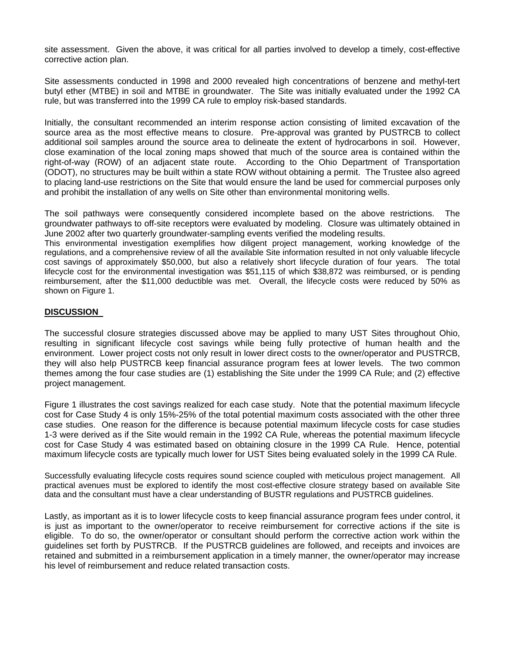site assessment. Given the above, it was critical for all parties involved to develop a timely, cost-effective corrective action plan.

Site assessments conducted in 1998 and 2000 revealed high concentrations of benzene and methyl-tert butyl ether (MTBE) in soil and MTBE in groundwater. The Site was initially evaluated under the 1992 CA rule, but was transferred into the 1999 CA rule to employ risk-based standards.

Initially, the consultant recommended an interim response action consisting of limited excavation of the source area as the most effective means to closure. Pre-approval was granted by PUSTRCB to collect additional soil samples around the source area to delineate the extent of hydrocarbons in soil. However, close examination of the local zoning maps showed that much of the source area is contained within the right-of-way (ROW) of an adjacent state route. According to the Ohio Department of Transportation (ODOT), no structures may be built within a state ROW without obtaining a permit. The Trustee also agreed to placing land-use restrictions on the Site that would ensure the land be used for commercial purposes only and prohibit the installation of any wells on Site other than environmental monitoring wells.

The soil pathways were consequently considered incomplete based on the above restrictions. The groundwater pathways to off-site receptors were evaluated by modeling. Closure was ultimately obtained in June 2002 after two quarterly groundwater-sampling events verified the modeling results.

This environmental investigation exemplifies how diligent project management, working knowledge of the regulations, and a comprehensive review of all the available Site information resulted in not only valuable lifecycle cost savings of approximately \$50,000, but also a relatively short lifecycle duration of four years. The total lifecycle cost for the environmental investigation was \$51,115 of which \$38,872 was reimbursed, or is pending reimbursement, after the \$11,000 deductible was met. Overall, the lifecycle costs were reduced by 50% as shown on Figure 1.

### **DISCUSSION**

The successful closure strategies discussed above may be applied to many UST Sites throughout Ohio, resulting in significant lifecycle cost savings while being fully protective of human health and the environment. Lower project costs not only result in lower direct costs to the owner/operator and PUSTRCB, they will also help PUSTRCB keep financial assurance program fees at lower levels. The two common themes among the four case studies are (1) establishing the Site under the 1999 CA Rule; and (2) effective project management.

Figure 1 illustrates the cost savings realized for each case study. Note that the potential maximum lifecycle cost for Case Study 4 is only 15%-25% of the total potential maximum costs associated with the other three case studies. One reason for the difference is because potential maximum lifecycle costs for case studies 1-3 were derived as if the Site would remain in the 1992 CA Rule, whereas the potential maximum lifecycle cost for Case Study 4 was estimated based on obtaining closure in the 1999 CA Rule. Hence, potential maximum lifecycle costs are typically much lower for UST Sites being evaluated solely in the 1999 CA Rule.

Successfully evaluating lifecycle costs requires sound science coupled with meticulous project management. All practical avenues must be explored to identify the most cost-effective closure strategy based on available Site data and the consultant must have a clear understanding of BUSTR regulations and PUSTRCB guidelines.

Lastly, as important as it is to lower lifecycle costs to keep financial assurance program fees under control, it is just as important to the owner/operator to receive reimbursement for corrective actions if the site is eligible. To do so, the owner/operator or consultant should perform the corrective action work within the guidelines set forth by PUSTRCB. If the PUSTRCB guidelines are followed, and receipts and invoices are retained and submitted in a reimbursement application in a timely manner, the owner/operator may increase his level of reimbursement and reduce related transaction costs.